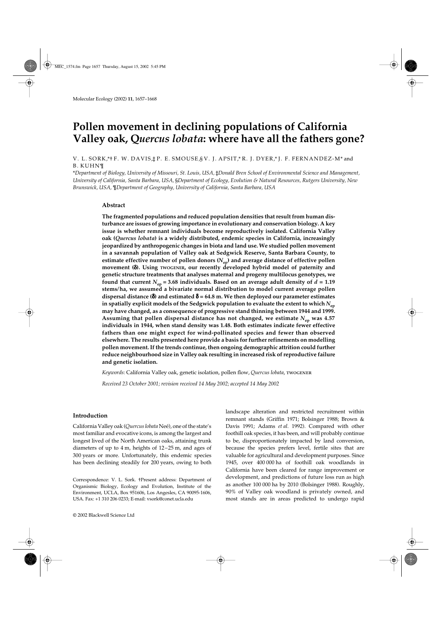# **Pollen movement in declining populations of California Valley oak, Q***uercus lobata***: where have all the fathers gone?**

V. L. SORK,\*† F. W. DAVIS, ‡P. E. SMOUSE § V. J. APSIT,\* R. J. DYER,\* J. F. FERNANDEZ-M\* and B. KUHN¶

\**Department of Biology, University of Missouri, St. Louis, USA,* ‡*Donald Bren School of Environmental Science and Management, University of California, Santa Barbara, USA,* §*Department of Ecology, Evolution & Natural Resources, Rutgers University, New Brunswick, USA,* ¶*Department of Geography, University of California, Santa Barbara, USA* 

### **Abstract**

**The fragmented populations and reduced population densities that result from human disturbance are issues of growing importance in evolutionary and conservation biology. A key issue is whether remnant individuals become reproductively isolated. California Valley oak (***Quercus lobata***) is a widely distributed, endemic species in California, increasingly jeopardized by anthropogenic changes in biota and land use. We studied pollen movement in a savannah population of Valley oak at Sedgwick Reserve, Santa Barbara County, to estimate effective number of pollen donors (***N***ep) and average distance of effective pollen movement (** δ**). Using TWOGENER, our recently developed hybrid model of paternity and genetic structure treatments that analyses maternal and progeny multilocus genotypes, we found that current**  $N_{\text{ep}} = 3.68$  **individuals. Based on an average adult density of**  $d = 1.19$ **stems/ha, we assumed a bivariate normal distribution to model current average pollen dispersal distance (** δ**) and estimated**  δ **= 64.8 m. We then deployed our parameter estimates** in spatially explicit models of the Sedgwick population to evaluate the extent to which  $N_{\text{ep}}$ **may have changed, as a consequence of progressive stand thinning between 1944 and 1999. Assuming that pollen dispersal distance has not changed, we estimate** *N***ep was 4.57 individuals in 1944, when stand density was 1.48. Both estimates indicate fewer effective fathers than one might expect for wind-pollinated species and fewer than observed elsewhere. The results presented here provide a basis for further refinements on modelling pollen movement. If the trends continue, then ongoing demographic attrition could further reduce neighbourhood size in Valley oak resulting in increased risk of reproductive failure and genetic isolation.**

*Keywords*: California Valley oak, genetic isolation, pollen flow, *Quercus lobata*, twogener

*Received 23 October 2001; revision received 14 May 2002; accepted 14 May 2002*

#### **Introduction**

California Valley oak (*Quercus lobata* Neé), one of the state's most familiar and evocative icons, is among the largest and longest lived of the North American oaks, attaining trunk diameters of up to 4 m, heights of 12–25 m, and ages of 300 years or more. Unfortunately, this endemic species has been declining steadily for 200 years, owing to both

Correspondence: V. L. Sork. †Present address: Department of Organismic Biology, Ecology and Evolution, Institute of the Environment, UCLA, Box 951606, Los Angesles, CA 90095-1606, USA. Fax: +1 310 206 0233; E-mail: vsork@conet.ucla.edu

© 2002 Blackwell Science Ltd

landscape alteration and restricted recruitment within remnant stands (Griffin 1971; Bolsinger 1988; Brown & Davis 1991; Adams *et al*. 1992). Compared with other foothill oak species, it has been, and will probably continue to be, disproportionately impacted by land conversion, because the species prefers level, fertile sites that are valuable for agricultural and development purposes. Since 1945, over 400 000 ha of foothill oak woodlands in California have been cleared for range improvement or development, and predictions of future loss run as high as another 100 000 ha by 2010 (Bolsinger 1988). Roughly, 90% of Valley oak woodland is privately owned, and most stands are in areas predicted to undergo rapid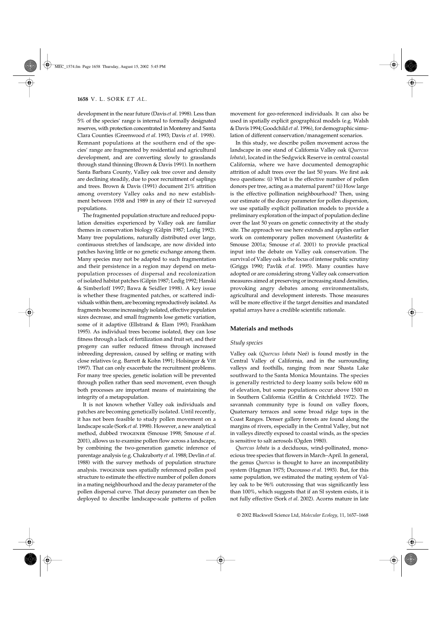development in the near future (Davis *et al*. 1998). Less than 5% of the species' range is internal to formally designated reserves, with protection concentrated in Monterey and Santa Clara Counties (Greenwood *et al*. 1993; Davis *et al*. 1998). Remnant populations at the southern end of the species' range are fragmented by residential and agricultural development, and are converting slowly to grasslands through stand thinning (Brown & Davis 1991). In northern Santa Barbara County, Valley oak tree cover and density are declining steadily, due to poor recruitment of saplings and trees. Brown & Davis (1991) document 21% attrition among overstory Valley oaks and no new establishment between 1938 and 1989 in any of their 12 surveyed populations.

The fragmented population structure and reduced population densities experienced by Valley oak are familiar themes in conservation biology (Gilpin 1987; Ledig 1992). Many tree populations, naturally distributed over large, continuous stretches of landscape, are now divided into patches having little or no genetic exchange among them. Many species may not be adapted to such fragmentation and their persistence in a region may depend on metapopulation processes of dispersal and recolonization of isolated habitat patches (Gilpin 1987; Ledig 1992; Hanski & Simberloff 1997; Bawa & Seidler 1998). A key issue is whether these fragmented patches, or scattered individuals within them, are becoming reproductively isolated. As fragments become increasingly isolated, effective population sizes decrease, and small fragments lose genetic variation, some of it adaptive (Ellstrand & Elam 1993; Frankham 1995). As individual trees become isolated, they can lose fitness through a lack of fertilization and fruit set, and their progeny can suffer reduced fitness through increased inbreeding depression, caused by selfing or mating with close relatives (e.g. Barrett & Kohn 1991; Holsinger & Vitt 1997). That can only exacerbate the recruitment problems. For many tree species, genetic isolation will be prevented through pollen rather than seed movement, even though both processes are important means of maintaining the integrity of a metapopulation.

It is not known whether Valley oak individuals and patches are becoming genetically isolated. Until recently, it has not been feasible to study pollen movement on a landscape scale (Sork *et al*. 1998). However, a new analytical method, dubbed twogener (Smouse 1998; Smouse *et al*. 2001), allows us to examine pollen flow across a landscape, by combining the two-generation gametic inference of parentage analysis (e.g. Chakraborty *et al*. 1988; Devlin *et al*. 1988) with the survey methods of population structure analysis. twogener uses spatially referenced pollen pool structure to estimate the effective number of pollen donors in a mating neighbourhood and the decay parameter of the pollen dispersal curve. That decay parameter can then be deployed to describe landscape-scale patterns of pollen

movement for geo-referenced individuals. It can also be used in spatially explicit geographical models (e.g. Walsh & Davis 1994; Goodchild *et al*. 1996), for demographic simulation of different conservation/management scenarios.

In this study, we describe pollen movement across the landscape in one stand of California Valley oak (*Quercus lobata*), located in the Sedgwick Reserve in central coastal California, where we have documented demographic attrition of adult trees over the last 50 years. We first ask two questions: (i) What is the effective number of pollen donors per tree, acting as a maternal parent? (ii) How large is the effective pollination neighbourhood? Then, using our estimate of the decay parameter for pollen dispersion, we use spatially explicit pollination models to provide a preliminary exploration of the impact of population decline over the last 50 years on genetic connectivity at the study site. The approach we use here extends and applies earlier work on contemporary pollen movement (Austerlitz & Smouse 2001a; Smouse *et al*. 2001) to provide practical input into the debate on Valley oak conservation. The survival of Valley oak is the focus of intense public scrutiny (Griggs 1990; Pavlik *et al*. 1995). Many counties have adopted or are considering strong Valley oak conservation measures aimed at preserving or increasing stand densities, provoking angry debates among environmentalists, agricultural and development interests. Those measures will be more effective if the target densities and mandated spatial arrays have a credible scientific rationale.

## **Materials and methods**

#### *Study species*

Valley oak (*Quercus lobata* Neé) is found mostly in the Central Valley of California, and in the surrounding valleys and foothills, ranging from near Shasta Lake southward to the Santa Monica Mountains. The species is generally restricted to deep loamy soils below 600 m of elevation, but some populations occur above 1500 m in Southern California (Griffin & Critchfield 1972). The savannah community type is found on valley floors, Quaternary terraces and some broad ridge tops in the Coast Ranges. Denser gallery forests are found along the margins of rivers, especially in the Central Valley, but not in valleys directly exposed to coastal winds, as the species is sensitive to salt aerosols (Ogden 1980).

*Quercus lobata* is a deciduous, wind-pollinated, monoecious tree species that flowers in March−April. In general, the genus *Quercus* is thought to have an incompatibility system (Hagman 1975; Ducousso *et al*. 1993). But, for this same population, we estimated the mating system of Valley oak to be 96% outcrossing that was significantly less than 100%, which suggests that if an SI system exists, it is not fully effective (Sork *et al*. 2002). Acorns mature in late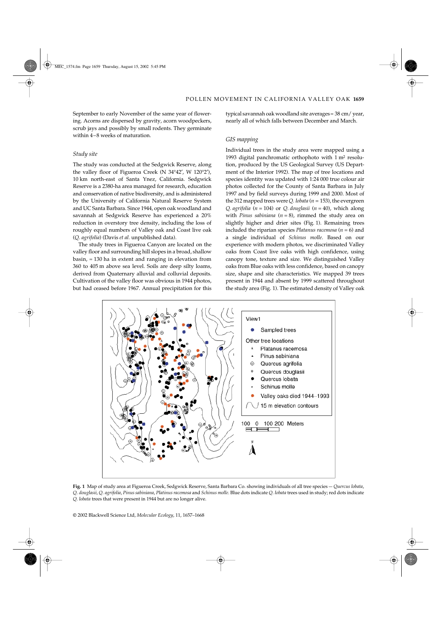September to early November of the same year of flowering. Acorns are dispersed by gravity, acorn woodpeckers, scrub jays and possibly by small rodents. They germinate within 4–8 weeks of maturation.

### *Study site*

The study was conducted at the Sedgwick Reserve, along the valley floor of Figueroa Creek (N 34°42′, W 120°2′), 10 km north-east of Santa Ynez, California. Sedgwick Reserve is a 2380-ha area managed for research, education and conservation of native biodiversity, and is administered by the University of California Natural Reserve System and UC Santa Barbara. Since 1944, open oak woodland and savannah at Sedgwick Reserve has experienced a 20% reduction in overstory tree density, including the loss of roughly equal numbers of Valley oak and Coast live oak (*Q. agrifolia*) (Davis *et al.* unpublished data).

The study trees in Figueroa Canyon are located on the valley floor and surrounding hill slopes in a broad, shallow basin,  $\approx$  130 ha in extent and ranging in elevation from 360 to 405 m above sea level. Soils are deep silty loams, derived from Quaternary alluvial and colluvial deposits. Cultivation of the valley floor was obvious in 1944 photos, but had ceased before 1967. Annual precipitation for this

typical savannah oak woodland site averages ≈ 38 cm/ year, nearly all of which falls between December and March.

#### *GIS mapping*

Individual trees in the study area were mapped using a 1993 digital panchromatic orthophoto with 1 m2 resolution, produced by the US Geological Survey (US Department of the Interior 1992). The map of tree locations and species identity was updated with 1:24 000 true colour air photos collected for the County of Santa Barbara in July 1997 and by field surveys during 1999 and 2000. Most of the 312 mapped trees were *Q. lobata* (*n* = 153), the evergreen *Q. agrifolia* (*n* = 104) or *Q. douglasii* (*n* = 40), which along with *Pinus sabiniana* (*n* = 8), rimmed the study area on slightly higher and drier sites (Fig. 1). Remaining trees included the riparian species *Platanus racemosa* (*n* = 6) and a single individual of *Schinus molle*. Based on our experience with modern photos, we discriminated Valley oaks from Coast live oaks with high confidence, using canopy tone, texture and size. We distinguished Valley oaks from Blue oaks with less confidence, based on canopy size, shape and site characteristics. We mapped 39 trees present in 1944 and absent by 1999 scattered throughout the study area (Fig. 1). The estimated density of Valley oak



**Fig. 1** Map of study area at Figueroa Creek, Sedgwick Reserve, Santa Barbara Co. showing individuals of all tree species — *Quercus lobata*, *Q. douglasii*, *Q. agrifolia*, *Pinus sabiniana*, *Platinus racemosa* and *Schinus molle*. Blue dots indicate *Q. lobata* trees used in study; red dots indicate *Q. lobata* trees that were present in 1944 but are no longer alive.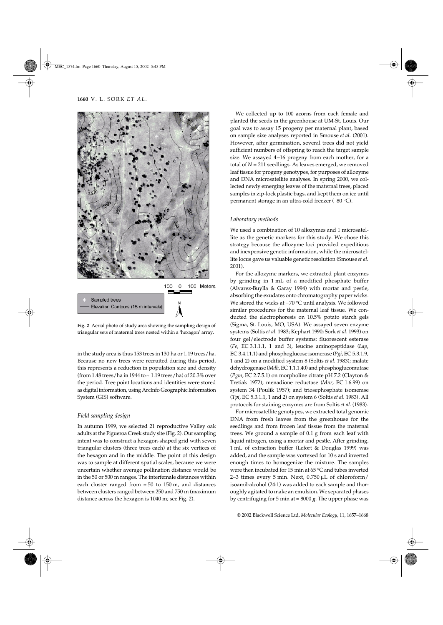

**Fig. 2** Aerial photo of study area showing the sampling design of triangular sets of maternal trees nested within a 'hexagon' array.

in the study area is thus 153 trees in 130 ha or 1.19 trees/ha. Because no new trees were recruited during this period, this represents a reduction in population size and density (from 1.48 trees/ha in 1944 to  $\approx$  1.19 trees/ha) of 20.3% over the period. Tree point locations and identities were stored as digital information, using ArcInfo Geographic Information System (GIS) software.

#### *Field sampling design*

In autumn 1999, we selected 21 reproductive Valley oak adults at the Figueroa Creek study site (Fig. 2). Our sampling intent was to construct a hexagon-shaped grid with seven triangular clusters (three trees each) at the six vertices of the hexagon and in the middle. The point of this design was to sample at different spatial scales, because we were uncertain whether average pollination distance would be in the 50 or 500 m ranges. The interfemale distances within each cluster ranged from  $\approx$  50 to 150 m, and distances between clusters ranged between 250 and 750 m (maximum distance across the hexagon is 1040 m; see Fig. 2).

We collected up to 100 acorns from each female and planted the seeds in the greenhouse at UM-St. Louis. Our goal was to assay 15 progeny per maternal plant, based on sample size analyses reported in Smouse *et al*. (2001). However, after germination, several trees did not yield sufficient numbers of offspring to reach the target sample size. We assayed 4–16 progeny from each mother, for a total of  $N = 211$  seedlings. As leaves emerged, we removed leaf tissue for progeny genotypes, for purposes of allozyme and DNA microsatellite analyses. In spring 2000, we collected newly emerging leaves of the maternal trees, placed samples in zip-lock plastic bags, and kept them on ice until permanent storage in an ultra-cold freezer (−80 °C).

#### *Laboratory methods*

We used a combination of 10 allozymes and 1 microsatellite as the genetic markers for this study. We chose this strategy because the allozyme loci provided expeditious and inexpensive genetic information, while the microsatellite locus gave us valuable genetic resolution (Smouse *et al*. 2001).

For the allozyme markers, we extracted plant enzymes by grinding in 1 mL of a modified phosphate buffer (Alvarez-Buylla & Garay 1994) with mortar and pestle, absorbing the exudates onto chromatography paper wicks. We stored the wicks at −70 °C until analysis. We followed similar procedures for the maternal leaf tissue. We conducted the electrophoresis on 10.5% potato starch gels (Sigma, St. Louis, MO, USA). We assayed seven enzyme systems (Soltis *et al*. 1983; Kephart 1990; Sork *et al*. 1993) on four gel/electrode buffer systems: fluorescent esterase (*Fe*, EC 3.1.1.1, 1 and 3), leucine aminopeptidase (*Lap*, EC 3.4.11.1) and phosphoglucose isomerase (*Pgi*, EC 5.3.1.9, 1 and 2) on a modified system 8 (Soltis *et al*. 1983); malate dehydrogenase (*Mdh*, EC 1.1.1.40) and phosphoglucomutase (*Pgm*, EC 2.7.5.1) on morpholine citrate pH 7.2 (Clayton & Tretiak 1972); menadione reductase (*Mnr*, EC 1.6.99) on system 34 (Poulik 1957); and triosephosphate isomerase (*Tpi*, EC 5.3.1.1, 1 and 2) on system 6 (Soltis *et al*. 1983). All protocols for staining enzymes are from Soltis *et al*. (1983).

For microsatellite genotypes, we extracted total genomic DNA from fresh leaves from the greenhouse for the seedlings and from frozen leaf tissue from the maternal trees. We ground a sample of 0.1 g from each leaf with liquid nitrogen, using a mortar and pestle. After grinding, 1 mL of extraction buffer (Lefort & Douglas 1999) was added, and the sample was vortexed for 10 s and inverted enough times to homogenize the mixture. The samples were then incubated for 15 min at 65 °C and tubes inverted 2–3 times every 5 min. Next, 0.750 µL of chloroform/ isoamil-alcohol (24:1) was added to each sample and thoroughly agitated to make an emulsion. We separated phases by centrifuging for 5 min at  $\approx 8000 g$ . The upper phase was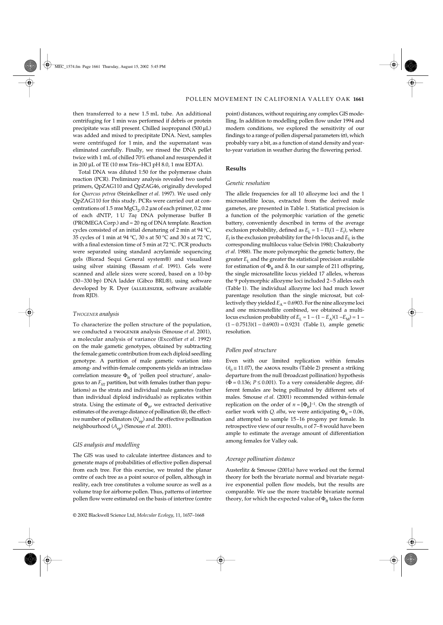then transferred to a new 1.5 mL tube. An additional centrifuging for 1 min was performed if debris or protein precipitate was still present. Chilled isopropanol  $(500 \,\mu L)$ was added and mixed to precipitate DNA. Next, samples were centrifuged for 1 min, and the supernatant was eliminated carefully. Finally, we rinsed the DNA pellet twice with 1 mL of chilled 70% ethanol and resuspended it in 200 µL of TE (10 mm Tris−HCl pH 8.0, 1 mm EDTA).

Total DNA was diluted 1:50 for the polymerase chain reaction (PCR). Preliminary analysis revealed two useful primers, QpZAG110 and QpZAG46, originally developed for *Quercus petrea* (Steinkellner *et al*. 1997). We used only QpZAG110 for this study. PCRs were carried out at concentrations of 1.5 mm MgCl<sub>2</sub>, 0.2  $\mu$ m of each primer, 0.2 mm of each dNTP, 1 U *Taq* DNA polymerase buffer B (PROMEGA Corp.) and ≈ 20 ng of DNA template. Reaction cycles consisted of an initial denaturing of 2 min at 94 °C, 35 cycles of 1 min at 94 °C, 30 s at 50 °C and 30 s at 72 °C, with a final extension time of 5 min at 72 °C. PCR products were separated using standard acrylamide sequencing gels (Biorad Sequi General system®) and visualized using silver staining (Bassam *et al*. 1991). Gels were scanned and allele sizes were scored, based on a 10-bp (30–330 bp) DNA ladder (Gibco BRL®), using software developed by R. Dyer (ALLELESIZER, software available from RJD).

#### *TWOGENER analysis*

To characterize the pollen structure of the population, we conducted a twogener analysis (Smouse *et al*. 2001), a molecular analysis of variance (Excoffier *et al*. 1992) on the male gametic genotypes, obtained by subtracting the female gametic contribution from each diploid seedling genotype. A partition of male gametic variation into among- and within-female components yields an intraclass correlation measure  $\Phi_{\text{ft}}$  of 'pollen pool structure', analogous to an  $F_{ST}$  partition, but with females (rather than populations) as the strata and individual male gametes (rather than individual diploid individuals) as replicates within strata. Using the estimate of  $\Phi_{\text{ftr}}$  we extracted derivative estimates of the average distance of pollination (δ), the effective number of pollinators  $(N_{ep})$  and the effective pollination neighbourhood (*A*ep) (Smouse *et al*. 2001).

#### *GIS analysis and modelling*

The GIS was used to calculate intertree distances and to generate maps of probabilities of effective pollen dispersal from each tree. For this exercise, we treated the planar centre of each tree as a point source of pollen, although in reality, each tree constitutes a volume source as well as a volume trap for airborne pollen. Thus, patterns of intertree pollen flow were estimated on the basis of intertree (centre point) distances, without requiring any complex GIS modelling. In addition to modelling pollen flow under 1994 and modern conditions, we explored the sensitivity of our findings to a range of pollen dispersal parameters  $(\sigma)$ , which probably vary a bit, as a function of stand density and yearto-year variation in weather during the flowering period.

## **Results**

#### *Genetic resolution*

The allele frequencies for all 10 allozyme loci and the 1 microsatellite locus, extracted from the derived male gametes, are presented in Table 1. Statistical precision is a function of the polymorphic variation of the genetic battery, conveniently described in terms of the average exclusion probability, defined as  $E<sub>L</sub> = 1 - \Pi<sub>l</sub>(1 - E<sub>l</sub>)$ , where  $E_l$  is the exclusion probability for the *l*-th locus and  $E_L$  is the corresponding multilocus value (Selvin 1980; Chakraborty *et al*. 1988). The more polymorphic the genetic battery, the greater  $E<sub>L</sub>$  and the greater the statistical precision available for estimation of  $Φ_{ft}$  and δ. In our sample of 211 offspring, the single microsatellite locus yielded 17 alleles, whereas the 9 polymorphic allozyme loci included 2–5 alleles each (Table 1). The individual allozyme loci had much lower parentage resolution than the single microsat, but collectively they yielded  $E_A \approx 0.6903$ . For the nine allozyme loci and one microsatellite combined, we obtained a multilocus exclusion probability of  $E_L \approx 1 - (1 - E_A)(1 - E_M) = 1 -$ (1 − 0.7513)(1 − 0.6903) = 0.9231 (Table 1), ample genetic resolution.

#### *Pollen pool structure*

Even with our limited replication within females  $(\tilde{n}_0 \approx 11.07)$ , the amova results (Table 2) present a striking departure from the null (broadcast pollination) hypothesis  $(\hat{\Phi} = 0.136; P \le 0.001)$ . To a very considerable degree, different females are being pollinated by different sets of males. Smouse *et al*. (2001) recommended within-female replication on the order of  $n \approx [\Phi_{\text{ft}}]^{-1}$ . On the strength of earlier work with *Q. alba*, we were anticipating  $\Phi_{\text{ft}} \approx 0.06$ , and attempted to sample 15–16 progeny per female. In retrospective view of our results, *n* of 7–8 would have been ample to estimate the average amount of differentiation among females for Valley oak.

#### *Average pollination distance*

Austerlitz & Smouse (2001a) have worked out the formal theory for both the bivariate normal and bivariate negative exponential pollen flow models, but the results are comparable. We use the more tractable bivariate normal theory, for which the expected value of  $\Phi_{\text{ft}}$  takes the form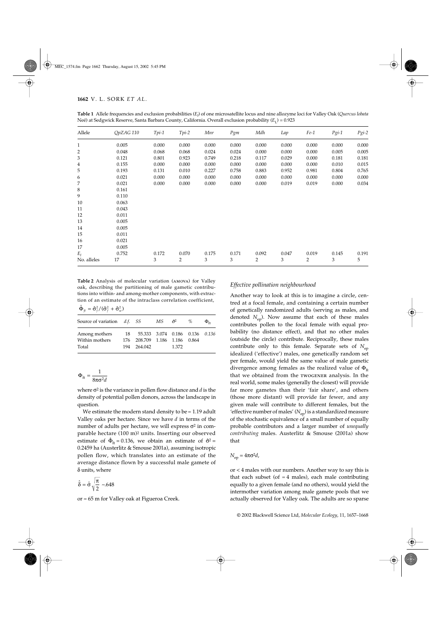| Allele                  | QpZAG 110 | $Tpi-1$ | $Tpi-2$ | Mnr   | Pgm   | Mdh   | Lap   | $Fe-1$         | $Pgi-1$ | $Pgi-2$ |
|-------------------------|-----------|---------|---------|-------|-------|-------|-------|----------------|---------|---------|
| $\mathbf{1}$            | 0.005     | 0.000   | 0.000   | 0.000 | 0.000 | 0.000 | 0.000 | 0.000          | 0.000   | 0.000   |
| 2                       | 0.048     | 0.068   | 0.068   | 0.024 | 0.024 | 0.000 | 0.000 | 0.000          | 0.005   | 0.005   |
| 3                       | 0.121     | 0.801   | 0.923   | 0.749 | 0.218 | 0.117 | 0.029 | 0.000          | 0.181   | 0.181   |
| $\overline{\mathbf{4}}$ | 0.155     | 0.000   | 0.000   | 0.000 | 0.000 | 0.000 | 0.000 | 0.000          | 0.010   | 0.015   |
| 5                       | 0.193     | 0.131   | 0.010   | 0.227 | 0.758 | 0.883 | 0.952 | 0.981          | 0.804   | 0.765   |
| 6                       | 0.021     | 0.000   | 0.000   | 0.000 | 0.000 | 0.000 | 0.000 | 0.000          | 0.000   | 0.000   |
| 7                       | 0.021     | 0.000   | 0.000   | 0.000 | 0.000 | 0.000 | 0.019 | 0.019          | 0.000   | 0.034   |
| 8                       | 0.161     |         |         |       |       |       |       |                |         |         |
| 9                       | 0.110     |         |         |       |       |       |       |                |         |         |
| 10                      | 0.063     |         |         |       |       |       |       |                |         |         |
| 11                      | 0.043     |         |         |       |       |       |       |                |         |         |
| 12                      | 0.011     |         |         |       |       |       |       |                |         |         |
| 13                      | 0.005     |         |         |       |       |       |       |                |         |         |
| 14                      | 0.005     |         |         |       |       |       |       |                |         |         |
| 15                      | 0.011     |         |         |       |       |       |       |                |         |         |
| 16                      | 0.021     |         |         |       |       |       |       |                |         |         |
| 17                      | 0.005     |         |         |       |       |       |       |                |         |         |
| $E_l$                   | 0.752     | 0.172   | 0.070   | 0.175 | 0.171 | 0.092 | 0.047 | 0.019          | 0.145   | 0.191   |
| No. alleles             | 17        | 3       | 2       | 3     | 3     | 2     | 3     | $\overline{2}$ | 3       | 5       |

**Table 1** Allele frequencies and exclusion probabilities (*El* ) of one microsatellite locus and nine allozyme loci for Valley Oak (*Quercus lobata* Neé) at Sedgwick Reserve, Santa Barbara County, California. Overall exclusion probability ( $E_L$ ) = 0.923

**Table 2** Analysis of molecular variation (amova) for Valley oak, describing the partitioning of male gametic contributions into within- and among-mother components, with extraction of an estimate of the intraclass correlation coefficient,

 $\hat{\Phi}_{ft} = \hat{\sigma}_f^2 / (\hat{\sigma}_f^2 + \hat{\sigma}_w^2)$ 

| Source of variation d.f. SS              |     |                                                                               | MS ô <sup>2</sup> |       | $\%$ | $\Phi_{\mu}$ |
|------------------------------------------|-----|-------------------------------------------------------------------------------|-------------------|-------|------|--------------|
| Among mothers<br>Within mothers<br>Total | 194 | 18 55.333 3.074 0.186 0.136 0.136<br>176 208.709 1.186 1.186 0.864<br>264.042 |                   | 1.372 |      |              |

$$
\Phi_{\text{ft}} = \frac{1}{8\pi\sigma^2 d}
$$

where σ2 is the variance in pollen flow distance and *d* is the density of potential pollen donors, across the landscape in question.

We estimate the modern stand density to be  $\approx 1.19$  adult Valley oaks per hectare. Since we have *d* in terms of the number of adults per hectare, we will express  $σ²$  in comparable hectare (100 m)2 units. Inserting our observed estimate of  $\hat{\Phi}_{\text{ft}} = 0.136$ , we obtain an estimate of  $\hat{\sigma}^2 =$ 0.2459 ha (Austerlitz & Smouse 2001a), assuming isotropic pollen flow, which translates into an estimate of the average distance flown by a successful male gamete of δ units, where

$$
\hat{\delta} = \hat{\sigma} \sqrt{\frac{\pi}{2}} \sim 648
$$

or ≈ 65 m for Valley oak at Figueroa Creek.

## *Effective pollination neighbourhood*

Another way to look at this is to imagine a circle, centred at a focal female, and containing a certain number of genetically randomized adults (serving as males, and denoted  $N_{\text{en}}$ ). Now assume that each of these males contributes pollen to the focal female with equal probability (no distance effect), and that no other males (outside the circle) contribute. Reciprocally, these males contribute only to this female. Separate sets of N<sub>ep</sub> idealized ('effective') males, one genetically random set per female, would yield the same value of male gametic divergence among females as the realized value of  $\Phi_{\text{ft}}$ that we obtained from the twogener analysis. In the real world, some males (generally the closest) will provide far more gametes than their 'fair share', and others (those more distant) will provide far fewer, and any given male will contribute to different females, but the 'effective number of males' (N<sub>ep</sub>) is a standardized measure of the stochastic equivalence of a small number of equally probable contributors and a larger number of *unequally contributing* males. Austerlitz & Smouse (2001a) show that

 $N_{\rm ep} = 4\pi\sigma^2 d$ ,

or < 4 males with our numbers. Another way to say this is that each subset (of  $\approx$  4 males), each male contributing equally to a given female (and no others), would yield the intermother variation among male gamete pools that we actually observed for Valley oak. The adults are so sparse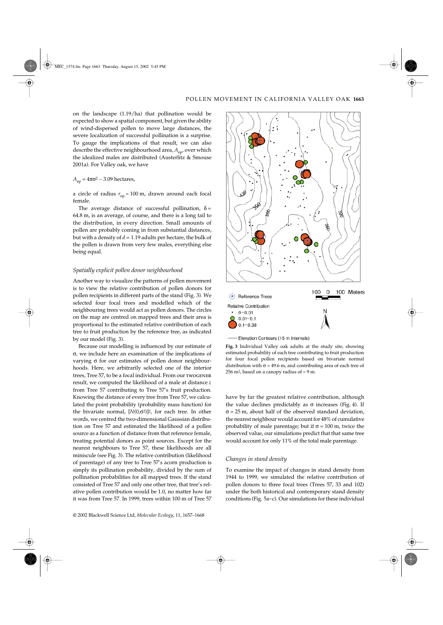on the landscape (1.19/ha) that pollination would be expected to show a spatial component, but given the ability of wind-dispersed pollen to move large distances, the severe localization of successful pollination is a surprise. To gauge the implications of that result, we can also describe the effective neighbourhood area,  $A_{\text{ep}}$ , over which the idealized males are distributed (Austerlitz & Smouse 2001a). For Valley oak, we have

 $A_{\rm ep} = 4\pi\sigma^2 \sim 3.09$  hectares,

a circle of radius  $r_{ep} \approx 100$  m, drawn around each focal female.

The average distance of successful pollination,  $\delta$  = 64.8 m, is an average, of course, and there is a long tail to the distribution, in every direction. Small amounts of pollen are probably coming in from substantial distances, but with a density of *d* = 1.19 adults per hectare, the bulk of the pollen is drawn from very few males, everything else being equal.

#### *Spatially explicit pollen donor neighbourhood*

Another way to visualize the patterns of pollen movement is to view the relative contribution of pollen donors for pollen recipients in different parts of the stand (Fig. 3). We selected four focal trees and modelled which of the neighbouring trees would act as pollen donors. The circles on the map are centred on mapped trees and their area is proportional to the estimated relative contribution of each tree to fruit production by the reference tree, as indicated by our model (Fig. 3).

Because our modelling is influenced by our estimate of σ, we include here an examination of the implications of varying σ for our estimates of pollen donor neighbourhoods. Here, we arbitrarily selected one of the interior trees, Tree 57, to be a focal individual. From our twogener result, we computed the likelihood of a male at distance *z* from Tree 57 contributing to Tree 57's fruit production. Knowing the distance of every tree from Tree 57, we calculated the point probability (probability mass function) for the bivariate normal,  $[N(0,\sigma^2)]^2$ , for each tree. In other words, we centred the two-dimensional Gaussian distribution on Tree 57 and estimated the likelihood of a pollen source as a function of distance from that reference female, treating potential donors as point sources. Except for the nearest neighbours to Tree 57, these likelihoods are all miniscule (see Fig. 3). The relative contribution (likelihood of parentage) of any tree to Tree 57's acorn production is simply its pollination probability, divided by the sum of pollination probabilities for all mapped trees. If the stand consisted of Tree 57 and only one other tree, that tree's relative pollen contribution would be 1.0, no matter how far it was from Tree 57. In 1999, trees within 100 m of Tree 57



- Elevation Contours (15 m intervals)

**Fig. 3** Individual Valley oak adults at the study site, showing estimated probability of each tree contributing to fruit production for four focal pollen recipients based on bivariate normal distribution with  $\sigma$  = 49.6 m, and contributing area of each tree of 256 m<sup>2</sup>, based on a canopy radius of  $\approx$  9 m.

have by far the greatest relative contribution, although the value declines predictably as σ increases (Fig. 4). If  $\sigma$  = 25 m, about half of the observed standard deviation, the nearest neighbour would account for 48% of cumulative probability of male parentage; but if  $\sigma = 100$  m, twice the observed value, our simulations predict that that same tree would account for only 11% of the total male parentage.

#### *Changes in stand density*

To examine the impact of changes in stand density from 1944 to 1999, we simulated the relative contribution of pollen donors to three focal trees (Trees 57, 33 and 102) under the both historical and contemporary stand density conditions (Fig. 5a−c). Our simulations for these individual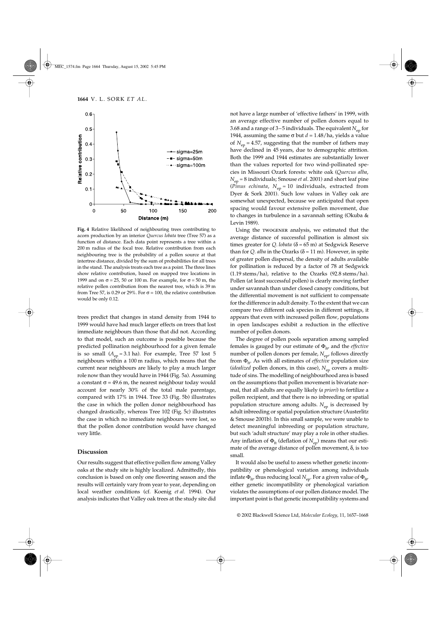

**Fig. 4** Relative likelihood of neighbouring trees contributing to acorn production by an interior *Quercus lobata* tree (Tree 57) as a function of distance. Each data point represents a tree within a 200 m radius of the focal tree. Relative contribution from each neighbouring tree is the probability of a pollen source at that intertree distance, divided by the sum of probabilities for all trees in the stand. The analysis treats each tree as a point. The three lines show relative contribution, based on mapped tree locations in 1999 and on  $\sigma$  = 25, 50 or 100 m. For example, for  $\sigma$  = 50 m, the relative pollen contribution from the nearest tree, which is 39 m from Tree 57, is 0.29 or 29%. For  $\sigma$  = 100, the relative contribution would be only 0.12.

trees predict that changes in stand density from 1944 to 1999 would have had much larger effects on trees that lost immediate neighbours than those that did not. According to that model, such an outcome is possible because the predicted pollination neighbourhood for a given female is so small  $(A_{ep} \approx 3.1 \text{ ha})$ . For example, Tree 57 lost 5 neighbours within a 100 m radius, which means that the current near neighbours are likely to play a much larger role now than they would have in 1944 (Fig. 5a). Assuming a constant  $\sigma$  = 49.6 m, the nearest neighbour today would account for nearly 30% of the total male parentage, compared with 17% in 1944. Tree 33 (Fig. 5b) illustrates the case in which the pollen donor neighbourhood has changed drastically, whereas Tree 102 (Fig. 5c) illustrates the case in which no immediate neighbours were lost, so that the pollen donor contribution would have changed very little.

### **Discussion**

Our results suggest that effective pollen flow among Valley oaks at the study site is highly localized. Admittedly, this conclusion is based on only one flowering season and the results will certainly vary from year to year, depending on local weather conditions (cf. Koenig *et al*. 1994). Our analysis indicates that Valley oak trees at the study site did

not have a large number of 'effective fathers' in 1999, with an average effective number of pollen donors equal to 3.68 and a range of 3–5 individuals. The equivalent  $N_{\rm ep}$  for 1944, assuming the same  $\sigma$  but  $d = 1.48/h$ a, yields a value of  $N_{\text{ep}}$  = 4.57, suggesting that the number of fathers may have declined in 45 years, due to demographic attrition. Both the 1999 and 1944 estimates are substantially lower than the values reported for two wind-pollinated species in Missouri Ozark forests: white oak (*Quercus alba*, *N*ep ≈ 8 individuals; Smouse *et al*. 2001) and short leaf pine (*Pinus echinata*,  $N_{ep} \approx 10$  individuals, extracted from Dyer & Sork 2001). Such low values in Valley oak are somewhat unexpected, because we anticipated that open spacing would favour extensive pollen movement, due to changes in turbulence in a savannah setting (Okuba & Levin 1989).

Using the twogener analysis, we estimated that the average distance of successful pollination is almost six times greater for *Q. lobata* ( $\delta \approx 65$  m) at Sedgwick Reserve than for *Q. alba* in the Ozarks ( $\delta \approx 11$  m). However, in spite of greater pollen dispersal, the density of adults available for pollination is reduced by a factor of 78 at Sedgwick (1.19 stems/ha), relative to the Ozarks (92.8 stems/ha). Pollen (at least successful pollen) is clearly moving farther under savannah than under closed canopy conditions, but the differential movement is not sufficient to compensate for the difference in adult density. To the extent that we can compare two different oak species in different settings, it appears that even with increased pollen flow, populations in open landscapes exhibit a reduction in the effective number of pollen donors.

The degree of pollen pools separation among sampled females is gauged by our estimate of Φ<sub>ft</sub>, and the *effective* number of pollen donors per female, *N*<sub>ep</sub>, follows directly from Φ<sub>ft</sub>. As with all estimates of *effective* population size (*idealized* pollen donors, in this case),  $N_{ep}$  covers a multitude of sins. The modelling of neighbourhood area is based on the assumptions that pollen movement is bivariate normal, that all adults are equally likely (*a priori*) to fertilize a pollen recipient, and that there is no inbreeding or spatial population structure among adults.  $N_{\text{ep}}$  is decreased by adult inbreeding or spatial population structure (Austerlitz & Smouse 2001b). In this small sample, we were unable to detect meaningful inbreeding or population structure, but such 'adult structure' may play a role in other studies. Any inflation of  $\Phi_{\text{ft}}$  (deflation of  $N_{\text{ep}}$ ) means that our estimate of the average distance of pollen movement,  $\delta$ , is too small.

It would also be useful to assess whether genetic incompatibility or phenological variation among individuals inflate  $\Phi_{\text{ft}}$ , thus reducing local  $N_{\text{ep}}$ . For a given value of  $\Phi_{\text{ft}}$ , either genetic incompatibility or phenological variation violates the assumptions of our pollen distance model. The important point is that genetic incompatibility systems and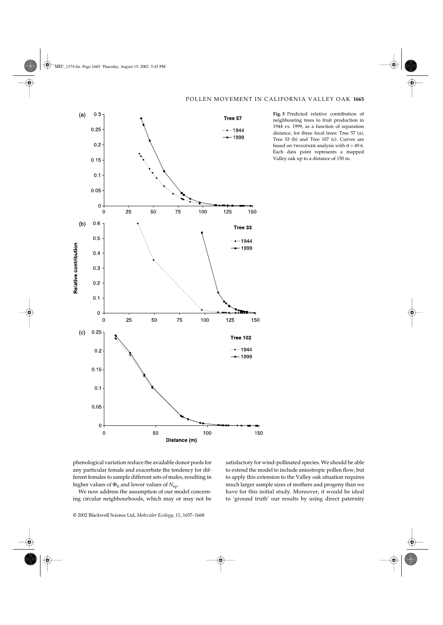

**Fig. 5** Predicted relative contribution of neighbouring trees to fruit production in 1944 vs. 1999, as a function of separation distance, for three focal trees: Tree 57 (a), Tree 33 (b) and Tree 107 (c). Curves are based on twogener analysis with  $\sigma = 49.6$ . Each data point represents a mapped Valley oak up to a distance of 150 m.

phenological variation reduce the available donor pools for any particular female and exacerbate the tendency for different females to sample different sets of males, resulting in higher values of  $\Phi_{\text{ft}}$  and lower values of  $N_{\text{ep}}$ .

We now address the assumption of our model concerning circular neighbourhoods, which may or may not be satisfactory for wind-pollinated species. We should be able to extend the model to include anisotropic pollen flow, but to apply this extension to the Valley oak situation requires much larger sample sizes of mothers and progeny than we have for this initial study. Moreover, it would be ideal to 'ground truth' our results by using direct paternity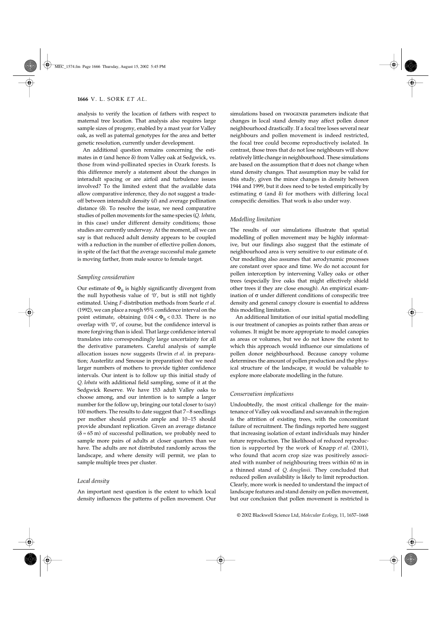analysis to verify the location of fathers with respect to maternal tree location. That analysis also requires large sample sizes of progeny, enabled by a mast year for Valley oak, as well as paternal genotypes for the area and better genetic resolution, currently under development.

An additional question remains concerning the estimates in  $\sigma$  (and hence  $\delta$ ) from Valley oak at Sedgwick, vs. those from wind-pollinated species in Ozark forests. Is this difference merely a statement about the changes in interadult spacing or are airfoil and turbulence issues involved? To the limited extent that the available data allow comparative inference, they do not suggest a tradeoff between interadult density (*d*) and average pollination distance (δ). To resolve the issue, we need comparative studies of pollen movements for the same species (*Q. lobata*, in this case) under different density conditions; those studies are currently underway. At the moment, all we can say is that reduced adult density appears to be coupled with a reduction in the number of effective pollen donors, in spite of the fact that the average successful male gamete is moving farther, from male source to female target.

#### *Sampling consideration*

Our estimate of  $\Phi_{\text{ft}}$  is highly significantly divergent from the null hypothesis value of '0', but is still not tightly estimated. Using *F*-distribution methods from Searle *et al*. (1992), we can place a rough 95% confidence interval on the point estimate, obtaining  $0.04 < \Phi_{\text{ft}} < 0.33$ . There is no overlap with '0', of course, but the confidence interval is more forgiving than is ideal. That large confidence interval translates into correspondingly large uncertainty for all the derivative parameters. Careful analysis of sample allocation issues now suggests (Irwin *et al*. in preparation; Austerlitz and Smouse in preparation) that we need larger numbers of mothers to provide tighter confidence intervals. Our intent is to follow up this initial study of *Q. lobata* with additional field sampling, some of it at the Sedgwick Reserve. We have 153 adult Valley oaks to choose among, and our intention is to sample a larger number for the follow up, bringing our total closer to (say) 100 mothers. The results to date suggest that 7–8 seedlings per mother should provide ample and 10–15 should provide abundant replication. Given an average distance  $(\delta \approx 65 \text{ m})$  of successful pollination, we probably need to sample more pairs of adults at closer quarters than we have. The adults are not distributed randomly across the landscape, and where density will permit, we plan to sample multiple trees per cluster.

#### *Local density*

An important next question is the extent to which local density influences the patterns of pollen movement. Our simulations based on twogener parameters indicate that changes in local stand density may affect pollen donor neighbourhood drastically. If a focal tree loses several near neighbours and pollen movement is indeed restricted, the focal tree could become reproductively isolated. In contrast, those trees that do not lose neighbours will show relatively little change in neighbourhood. These simulations are based on the assumption that  $\sigma$  does not change when stand density changes. That assumption may be valid for this study, given the minor changes in density between 1944 and 1999, but it does need to be tested empirically by estimating  $σ$  (and  $δ$ ) for mothers with differing local conspecific densities. That work is also under way.

#### *Modelling limitation*

The results of our simulations illustrate that spatial modelling of pollen movement may be highly informative, but our findings also suggest that the estimate of neighbourhood area is very sensitive to our estimate of σ. Our modelling also assumes that aerodynamic processes are constant over space and time. We do not account for pollen interception by intervening Valley oaks or other trees (especially live oaks that might effectively shield other trees if they are close enough). An empirical examination of  $\sigma$  under different conditions of conspecific tree density and general canopy closure is essential to address this modelling limitation.

An additional limitation of our initial spatial modelling is our treatment of canopies as points rather than areas or volumes. It might be more appropriate to model canopies as areas or volumes, but we do not know the extent to which this approach would influence our simulations of pollen donor neighbourhood. Because canopy volume determines the amount of pollen production and the physical structure of the landscape, it would be valuable to explore more elaborate modelling in the future.

#### *Conservation implications*

Undoubtedly, the most critical challenge for the maintenance of Valley oak woodland and savannah in the region is the attrition of existing trees, with the concomitant failure of recruitment. The findings reported here suggest that increasing isolation of extant individuals may hinder future reproduction. The likelihood of reduced reproduction is supported by the work of Knapp *et al*. (2001), who found that acorn crop size was positively associated with number of neighbouring trees within 60 m in a thinned stand of *Q. douglasii*. They concluded that reduced pollen availability is likely to limit reproduction. Clearly, more work is needed to understand the impact of landscape features and stand density on pollen movement, but our conclusion that pollen movement is restricted is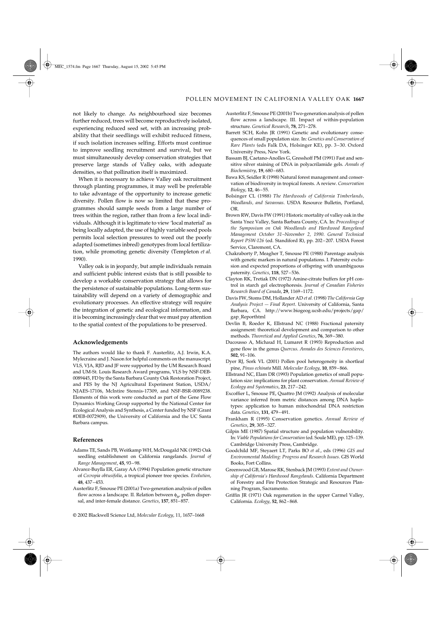not likely to change. As neighbourhood size becomes further reduced, trees will become reproductively isolated, experiencing reduced seed set, with an increasing probability that their seedlings will exhibit reduced fitness, if such isolation increases selfing. Efforts must continue to improve seedling recruitment and survival, but we must simultaneously develop conservation strategies that preserve large stands of Valley oaks, with adequate densities, so that pollination itself is maximized.

When it is necessary to achieve Valley oak recruitment through planting programmes, it may well be preferable to take advantage of the opportunity to increase genetic diversity. Pollen flow is now so limited that these programmes should sample seeds from a large number of trees within the region, rather than from a few local individuals. Although it is legitimate to view 'local material' as being locally adapted, the use of highly variable seed pools permits local selection pressures to weed out the poorly adapted (sometimes inbred) genotypes from local fertilization, while promoting genetic diversity (Templeton *et al*. 1990).

Valley oak is in jeopardy, but ample individuals remain and sufficient public interest exists that is still possible to develop a workable conservation strategy that allows for the persistence of sustainable populations. Long-term sustainability will depend on a variety of demographic and evolutionary processes. An effective strategy will require the integration of genetic and ecological information, and it is becoming increasingly clear that we must pay attention to the spatial context of the populations to be preserved.

#### **Acknowledgements**

The authors would like to thank F. Austerlitz, A.J. Irwin, K.A. Mylecraine and J. Nason for helpful comments on the manuscript. VLS, VJA, RJD and JF were supported by the UM Research Board and UM-St. Louis Research Award programs, VLS by NSF-DEB-0089445, FD by the Santa Barbara County Oak Restoration Project, and PES by the NJ Agricultural Experiment Station, USDA/ NJAES-17106, McIntire Stennis-17309, and NSF-BSR-0089238. Elements of this work were conducted as part of the Gene Flow Dynamics Working Group supported by the National Center for Ecological Analysis and Synthesis, a Center funded by NSF (Grant #DEB-0072909), the University of California and the UC Santa Barbara campus.

#### **References**

- Adams TE, Sands PB, Weitkamp WH, McDougald NK (1992) Oak seedling establishment on California rangelands. *Journal of Range Management*, **45**, 93–98.
- Alvarez-Buylla ER, Garay AA (1994) Population genetic structure of *Cecropia obtusifolia*, a tropical pioneer tree species. *Evolution*, **48**, 437–453.
- Austerlitz F, Smouse PE (2001a) Two-generation analysis of pollen flow across a landscape. II. Relation between  $\phi_{\text{ft}}$ , pollen dispersal, and inter-female distance. *Genetics*, **157**, 851–857.
- © 2002 Blackwell Science Ltd, *Molecular Ecology*, 11, 1657–1668
- Austerlitz F, Smouse PE (2001b) Two-generation analysis of pollen flow across a landscape. III. Impact of within-population structure. *Genetical Research*, **78**, 271–278.
- Barrett SCH, Kohn JR (1991) Genetic and evolutionary consequences of small population size. In: *Genetics and Conservation of Rare Plants* (eds Falk DA, Holsinger KE), pp. 3–30. Oxford University Press, New York.
- Bassam BJ, Caetano-Anolles G, Gresshoff PM (1991) Fast and sensitive silver staining of DNA in polyacrilamide gels. *Annals of Biochemistry*, **19**, 680–683.
- Bawa KS, Seidler R (1998) Natural forest management and conservation of biodiversity in tropical forests. A review. *Conservation Biology*, **12**, 46–55.
- Bolsinger CL (1988) *The Hardwoods of California Timberlands, Woodlands, and Savannas*. USDA Resource Bulletin, Portland, OR.
- Brown RW, Davis FW (1991) Historic mortality of valley oak in the Santa Ynez Valley, Santa Barbara County, CA. In: *Proceedings of the Symposium on Oak Woodlands and Hardwood Rangeland Management October 31*−*November 2, 1990*. *General Technical Report PSW-126* (ed. Standiford R), pp. 202–207. USDA Forest Service, Claremont, CA.
- Chakraborty P, Meagher T, Smouse PE (1988) Parentage analysis with genetic markers in natural populations. I. Paternity exclusion and expected proportions of offspring with unambiguous paternity. *Genetics*, **118**, 527–536.
- Clayton RK, Tretiak DN (1972) Amine-citrate buffers for pH control in starch gel electrophoresis. *Journal of Canadian Fisheries Research Board of Canada*, **29**, 1169–1172.
- Davis FW, Stoms DM, Hollander AD *et al.* (1998) *The California Gap Analysis Project — Final Report*. University of California, Santa Barbara, CA. http://www.biogeog.ucsb.edu/projects/gap/ gap\_Reporthtml
- Devlin B, Roeder K, Ellstrand NC (1988) Fractional paternity assignment: theoretical development and comparison to other methods. *Theoretical and Applied Genetics*, **76**, 369–380.
- Ducousso A, Michaud H, Lumaret R (1993) Reproduction and gene flow in the genus *Quercus*. *Annales des Sciences Forestieres*, **502**, 91–106.
- Dyer RJ, Sork VL (2001) Pollen pool heterogeneity in shortleaf pine, *Pinus echinata* Mill. *Molecular Ecology*, **10**, 859–866.
- Ellstrand NC, Elam DR (1993) Population genetics of small population size: implications for plant conservation. *Annual Review of Ecology and Systematics*, **23**, 217–242.
- Excoffier L, Smouse PE, Quattro JM (1992) Analysis of molecular variance inferred from metric distances among DNA haplotypes: application to human mitochondrial DNA restriction data. *Genetics*, **131**, 479–491.
- Frankham R (1995) Conservation genetics. *Annual Review of Genetics*, **29**, 305–327.
- Gilpin ME (1987) Spatial structure and population vulnerability. In: *Viable Populations for Conservation* (ed. Soule ME), pp. 125–139. Cambridge University Press, Cambridge.
- Goodchild MF, Steyaert LT, Parks BO *et al.*, eds (1996) *GIS and Environmental Modeling: Progress and Research Issues*. GIS World Books, Fort Collins.
- Greenwood GB, Marose RK, Stenback JM (1993) *Extent and Ownership of California's Hardwood Rangelands*. California Department of Forestry and Fire Protection Strategic and Resources Planning Program, Sacramento.
- Griffin JR (1971) Oak regeneration in the upper Carmel Valley, California. *Ecology*, **52**, 862–868.